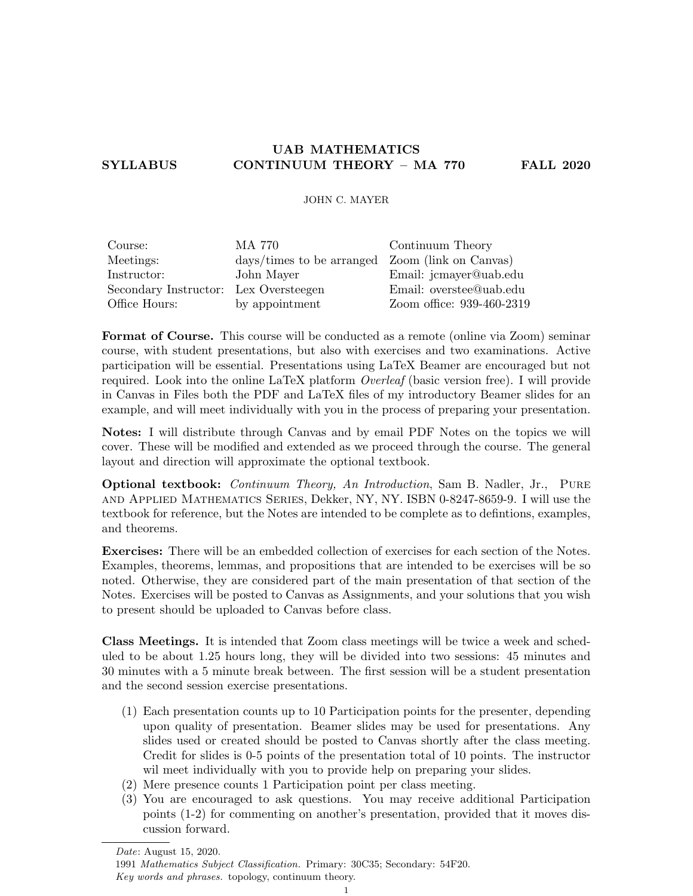# UAB MATHEMATICS SYLLABUS CONTINUUM THEORY – MA 770 FALL 2020

### JOHN C. MAYER

| Course:                               | MA 770                                          | Continuum Theory          |
|---------------------------------------|-------------------------------------------------|---------------------------|
| Meetings:                             | days/times to be arranged Zoom (link on Canvas) |                           |
| Instructor:                           | John Mayer                                      | Email: jcmayer@uab.edu    |
| Secondary Instructor: Lex Oversteegen |                                                 | Email: overstee@uab.edu   |
| Office Hours:                         | by appointment                                  | Zoom office: 939-460-2319 |

Format of Course. This course will be conducted as a remote (online via Zoom) seminar course, with student presentations, but also with exercises and two examinations. Active participation will be essential. Presentations using LaTeX Beamer are encouraged but not required. Look into the online LaTeX platform Overleaf (basic version free). I will provide in Canvas in Files both the PDF and LaTeX files of my introductory Beamer slides for an example, and will meet individually with you in the process of preparing your presentation.

Notes: I will distribute through Canvas and by email PDF Notes on the topics we will cover. These will be modified and extended as we proceed through the course. The general layout and direction will approximate the optional textbook.

Optional textbook: Continuum Theory, An Introduction, Sam B. Nadler, Jr., Pure and Applied Mathematics Series, Dekker, NY, NY. ISBN 0-8247-8659-9. I will use the textbook for reference, but the Notes are intended to be complete as to defintions, examples, and theorems.

Exercises: There will be an embedded collection of exercises for each section of the Notes. Examples, theorems, lemmas, and propositions that are intended to be exercises will be so noted. Otherwise, they are considered part of the main presentation of that section of the Notes. Exercises will be posted to Canvas as Assignments, and your solutions that you wish to present should be uploaded to Canvas before class.

Class Meetings. It is intended that Zoom class meetings will be twice a week and scheduled to be about 1.25 hours long, they will be divided into two sessions: 45 minutes and 30 minutes with a 5 minute break between. The first session will be a student presentation and the second session exercise presentations.

- (1) Each presentation counts up to 10 Participation points for the presenter, depending upon quality of presentation. Beamer slides may be used for presentations. Any slides used or created should be posted to Canvas shortly after the class meeting. Credit for slides is 0-5 points of the presentation total of 10 points. The instructor wil meet individually with you to provide help on preparing your slides.
- (2) Mere presence counts 1 Participation point per class meeting.
- (3) You are encouraged to ask questions. You may receive additional Participation points (1-2) for commenting on another's presentation, provided that it moves discussion forward.

Key words and phrases. topology, continuum theory.

Date: August 15, 2020.

<sup>1991</sup> Mathematics Subject Classification. Primary: 30C35; Secondary: 54F20.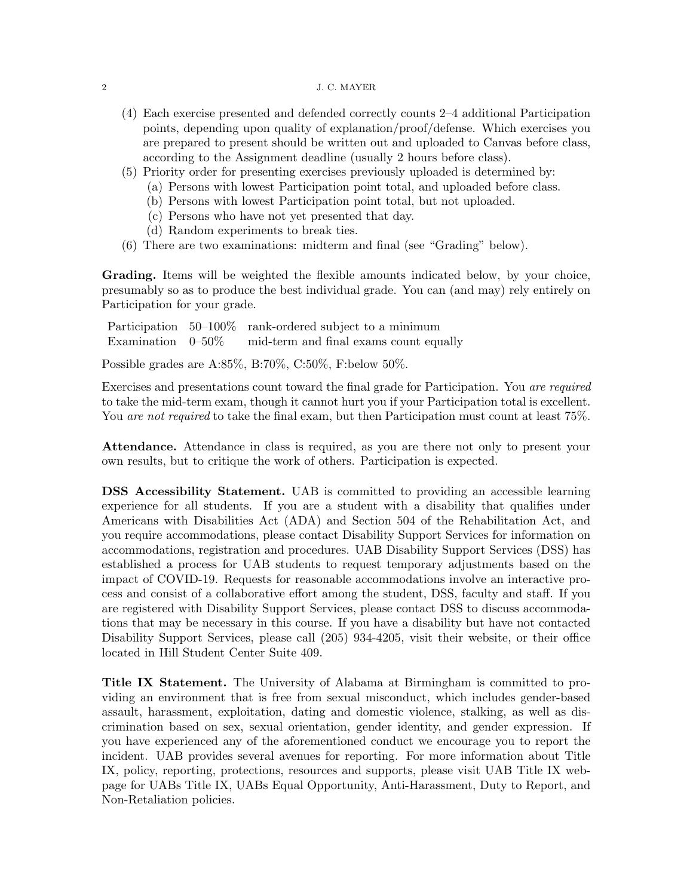#### 2 J. C. MAYER

- (4) Each exercise presented and defended correctly counts 2–4 additional Participation points, depending upon quality of explanation/proof/defense. Which exercises you are prepared to present should be written out and uploaded to Canvas before class, according to the Assignment deadline (usually 2 hours before class).
- (5) Priority order for presenting exercises previously uploaded is determined by:
	- (a) Persons with lowest Participation point total, and uploaded before class.
	- (b) Persons with lowest Participation point total, but not uploaded.
	- (c) Persons who have not yet presented that day.
	- (d) Random experiments to break ties.
- (6) There are two examinations: midterm and final (see "Grading" below).

Grading. Items will be weighted the flexible amounts indicated below, by your choice, presumably so as to produce the best individual grade. You can (and may) rely entirely on Participation for your grade.

Participation 50–100\% rank-ordered subject to a minimum Examination 0–50% mid-term and final exams count equally

Possible grades are A:85%, B:70%, C:50%, F:below 50%.

Exercises and presentations count toward the final grade for Participation. You are required to take the mid-term exam, though it cannot hurt you if your Participation total is excellent. You are not required to take the final exam, but then Participation must count at least 75%.

Attendance. Attendance in class is required, as you are there not only to present your own results, but to critique the work of others. Participation is expected.

DSS Accessibility Statement. UAB is committed to providing an accessible learning experience for all students. If you are a student with a disability that qualifies under Americans with Disabilities Act (ADA) and Section 504 of the Rehabilitation Act, and you require accommodations, please contact Disability Support Services for information on accommodations, registration and procedures. UAB Disability Support Services (DSS) has established a process for UAB students to request temporary adjustments based on the impact of COVID-19. Requests for reasonable accommodations involve an interactive process and consist of a collaborative effort among the student, DSS, faculty and staff. If you are registered with Disability Support Services, please contact DSS to discuss accommodations that may be necessary in this course. If you have a disability but have not contacted Disability Support Services, please call (205) 934-4205, visit their website, or their office located in Hill Student Center Suite 409.

Title IX Statement. The University of Alabama at Birmingham is committed to providing an environment that is free from sexual misconduct, which includes gender-based assault, harassment, exploitation, dating and domestic violence, stalking, as well as discrimination based on sex, sexual orientation, gender identity, and gender expression. If you have experienced any of the aforementioned conduct we encourage you to report the incident. UAB provides several avenues for reporting. For more information about Title IX, policy, reporting, protections, resources and supports, please visit UAB Title IX webpage for UABs Title IX, UABs Equal Opportunity, Anti-Harassment, Duty to Report, and Non-Retaliation policies.